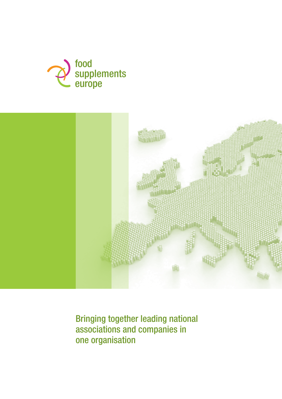



Bringing together leading national associations and companies in one organisation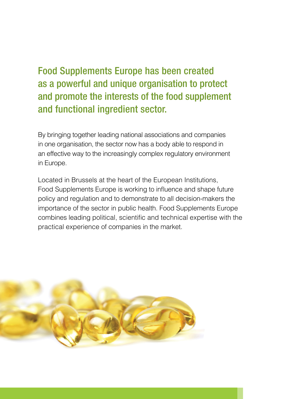# Food Supplements Europe has been created as a powerful and unique organisation to protect and promote the interests of the food supplement and functional ingredient sector.

By bringing together leading national associations and companies in one organisation, the sector now has a body able to respond in an effective way to the increasingly complex regulatory environment in Europe.

Located in Brussels at the heart of the European Institutions, Food Supplements Europe is working to influence and shape future policy and regulation and to demonstrate to all decision-makers the importance of the sector in public health. Food Supplements Europe combines leading political, scientific and technical expertise with the practical experience of companies in the market.

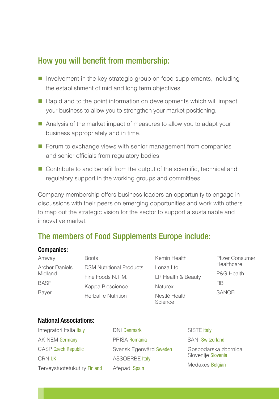### How you will benefit from membership:

- $\blacksquare$  Involvement in the key strategic group on food supplements, including the establishment of mid and long term objectives.
- $\blacksquare$  Rapid and to the point information on developments which will impact your business to allow you to strengthen your market positioning.
- Analysis of the market impact of measures to allow you to adapt your business appropriately and in time.
- $\blacksquare$  Forum to exchange views with senior management from companies and senior officials from regulatory bodies.
- $\blacksquare$  Contribute to and benefit from the output of the scientific, technical and regulatory support in the working groups and committees.

Company membership offers business leaders an opportunity to engage in discussions with their peers on emerging opportunities and work with others to map out the strategic vision for the sector to support a sustainable and innovative market.

## The members of Food Supplements Europe include:

#### Companies:

| Amway                                           | <b>Boots</b>                    | Kemin Health             | <b>Pfizer Consumer</b><br>Healthcare<br>P&G Health<br><b>RB</b><br><b>SANOFI</b> |
|-------------------------------------------------|---------------------------------|--------------------------|----------------------------------------------------------------------------------|
| <b>Archer Daniels</b><br>Midland<br><b>BASF</b> | <b>DSM Nutritional Products</b> | Lonza Ltd                |                                                                                  |
|                                                 | Fine Foods N.T.M.               | LR Health & Beauty       |                                                                                  |
|                                                 | Kappa Bioscience                | <b>Naturex</b>           |                                                                                  |
| <b>Bayer</b>                                    | <b>Herbalife Nutrition</b>      | Nestlé Health<br>Science |                                                                                  |

### National Associations:

| Integratori Italia Italy     | <b>DNI Denmark</b>     | SISTE Italy                                |  |
|------------------------------|------------------------|--------------------------------------------|--|
| AK NEM Germany               | PRISA Romania          | <b>SANI Switzerland</b>                    |  |
| <b>CASP Czech Republic</b>   | Svensk Egenvård Sweden | Gospodarska zbornica<br>Slovenije Slovenia |  |
| CRN UK                       | <b>ASSOERBE Italy</b>  |                                            |  |
| Terveystuotetukut ry Finland | Afepadi Spain          | Medaxes Belgian                            |  |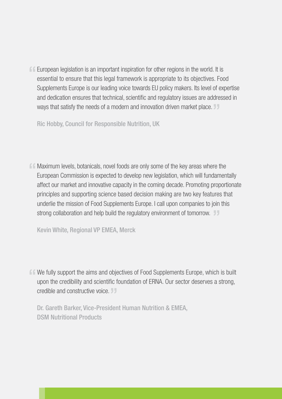**E** European legislation is an important inspiration for other regions in the world. It is essential to ensure that this legal framework is appropriate to its objectives. Food Supplements Europe is our leading voice towards EU policy makers. Its level of expertise and dedication ensures that technical, scientific and regulatory issues are addressed in ways that satisfy the needs of a modern and innovation driven market place.

Ric Hobby, Council for Responsible Nutrition, UK

 $\blacksquare$  Maximum levels, botanicals, novel foods are only some of the key areas where the European Commission is expected to develop new legislation, which will fundamentally affect our market and innovative capacity in the coming decade. Promoting proportionate principles and supporting science based decision making are two key features that underlie the mission of Food Supplements Europe. I call upon companies to join this strong collaboration and help build the regulatory environment of tomorrow.

Kevin White, Regional VP EMEA, Merck

We fully support the aims and objectives of Food Supplements Europe, which is built upon the credibility and scientific foundation of ERNA. Our sector deserves a strong, credible and constructive voice.

Dr. Gareth Barker, Vice-President Human Nutrition & EMEA, DSM Nutritional Products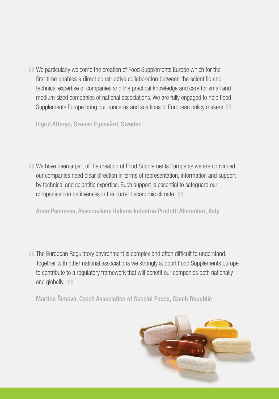$\mathsf{f}\mathsf{f}$  We particularly welcome the creation of Food Supplements Europe which for the first time enables a direct constructive collaboration between the scientific and technical expertise of companies and the practical knowledge and care for small and medium sized companies of national associations. We are fully engaged to help Food Supplements Europe bring our concerns and solutions to European policy makers.  $\mathbb{J}\mathbb{J}$ 

Ingrid Atteryd, Svensk Egenvård, Sweden

 $\blacksquare$  We have been a part of the creation of Food Supplements Europe as we are convinced our companies need clear direction in terms of representation, information and support by technical and scientific expertise. Such support is essential to safeguard our companies competitiveness in the current economic climate.

Anna Paonessa, Associazione Italiana Industrie Prodotti Alimentari, Italy

**f f** The European Regulatory environment is complex and often difficult to understand. Together with other national associations we strongly support Food Supplements Europe to contribute to a regulatory framework that will benefit our companies both nationally and globally.

Martina Šímová, Czech Association of Special Foods, Czech Republic